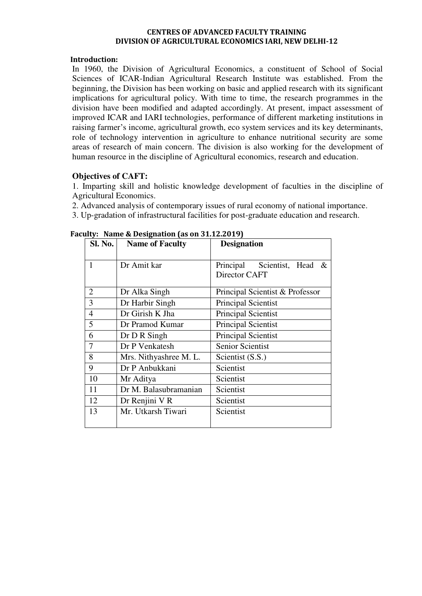#### **CENTRES OF ADVANCED FACULTY TRAINING DIVISION OF AGRICULTURAL ECONOMICS IARI, NEW DELHI-12**

### **Introduction:**

In 1960, the Division of Agricultural Economics, a constituent of School of Social Sciences of ICAR-Indian Agricultural Research Institute was established. From the beginning, the Division has been working on basic and applied research with its significant implications for agricultural policy. With time to time, the research programmes in the division have been modified and adapted accordingly. At present, impact assessment of improved ICAR and IARI technologies, performance of different marketing institutions in raising farmer's income, agricultural growth, eco system services and its key determinants, role of technology intervention in agriculture to enhance nutritional security are some areas of research of main concern. The division is also working for the development of human resource in the discipline of Agricultural economics, research and education.

## **Objectives of CAFT:**

1. Imparting skill and holistic knowledge development of faculties in the discipline of Agricultural Economics.

- 2. Advanced analysis of contemporary issues of rural economy of national importance.
- 3. Up-gradation of infrastructural facilities for post-graduate education and research.

| <b>Sl. No.</b> | <b>Name of Faculty</b> | <b>Designation</b>                                    |  |  |
|----------------|------------------------|-------------------------------------------------------|--|--|
| 1              | Dr Amit kar            | Scientist, Head<br>Principal<br>$\&$<br>Director CAFT |  |  |
| $\overline{2}$ | Dr Alka Singh          | Principal Scientist & Professor                       |  |  |
| 3              | Dr Harbir Singh        | <b>Principal Scientist</b>                            |  |  |
| $\overline{4}$ | Dr Girish K Jha        | Principal Scientist                                   |  |  |
| 5              | Dr Pramod Kumar        | <b>Principal Scientist</b>                            |  |  |
| 6              | Dr D R Singh           | <b>Principal Scientist</b>                            |  |  |
| 7              | Dr P Venkatesh         | <b>Senior Scientist</b>                               |  |  |
| 8              | Mrs. Nithyashree M. L. | Scientist (S.S.)                                      |  |  |
| 9              | Dr P Anbukkani         | Scientist                                             |  |  |
| 10             | Mr Aditya              | Scientist                                             |  |  |
| 11             | Dr M. Balasubramanian  | Scientist                                             |  |  |
| 12             | Dr Renjini V R         | Scientist                                             |  |  |
| 13             | Mr. Utkarsh Tiwari     | Scientist                                             |  |  |

### **Faculty: Name & Designation (as on 31.12.2019)**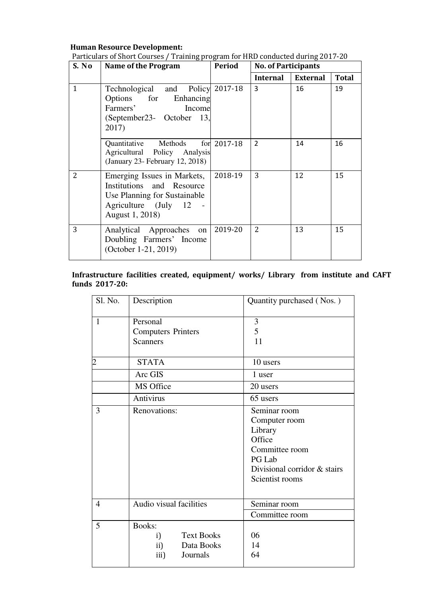# **Human Resource Development:**

| S. No          | ັ້<br>Name of the Program                                                                                                           | Period      | <b>No. of Participants</b> |                 |              |
|----------------|-------------------------------------------------------------------------------------------------------------------------------------|-------------|----------------------------|-----------------|--------------|
|                |                                                                                                                                     |             | <b>Internal</b>            | <b>External</b> | <b>Total</b> |
| $\mathbf{1}$   | Technological and Policy 2017-18<br>Options for Enhancing<br>Farmers'<br>Income<br>(September 23- October 13,<br>2017)              |             | 3                          | 16              | 19           |
|                | Quantitative Methods<br>Agricultural Policy Analysis<br>(January 23- February 12, 2018)                                             | for 2017-18 | $\mathcal{P}$              | 14              | 16           |
| $\overline{2}$ | Emerging Issues in Markets,<br>Institutions and Resource<br>Use Planning for Sustainable<br>Agriculture (July 12<br>August 1, 2018) | 2018-19     | 3                          | 12              | 15           |
| 3              | Analytical Approaches on<br>Doubling Farmers' Income<br>(October 1-21, 2019)                                                        | 2019-20     | 2                          | 13              | 15           |

Particulars of Short Courses / Training program for HRD conducted during 2017-20

# **Infrastructure facilities created, equipment/ works/ Library from institute and CAFT funds 2017-20:**

| Sl. No.        | Description                                                                       | Quantity purchased (Nos.)                                                                                                         |
|----------------|-----------------------------------------------------------------------------------|-----------------------------------------------------------------------------------------------------------------------------------|
| $\mathbf{1}$   | Personal<br><b>Computers Printers</b><br><b>Scanners</b>                          | 3<br>5<br>11                                                                                                                      |
| $\overline{2}$ | <b>STATA</b>                                                                      | 10 users                                                                                                                          |
|                | Arc GIS                                                                           | 1 user                                                                                                                            |
|                | MS Office                                                                         | 20 users                                                                                                                          |
|                | Antivirus                                                                         | 65 users                                                                                                                          |
| 3              | Renovations:                                                                      | Seminar room<br>Computer room<br>Library<br>Office<br>Committee room<br>PG Lab<br>Divisional corridor & stairs<br>Scientist rooms |
| $\overline{4}$ | Audio visual facilities                                                           | Seminar room<br>Committee room                                                                                                    |
| 5              | <b>Books:</b><br><b>Text Books</b><br>i)<br>Data Books<br>ii)<br>iii)<br>Journals | 06<br>14<br>64                                                                                                                    |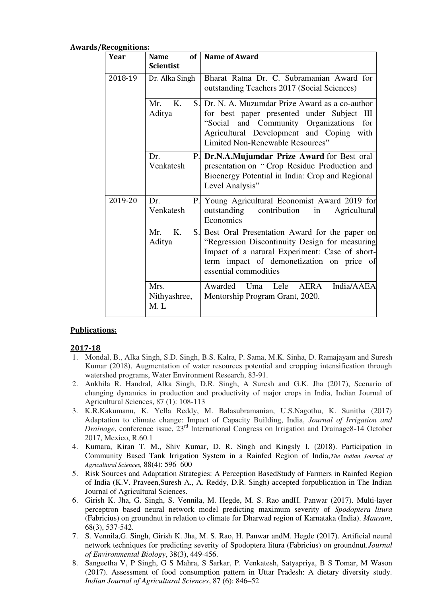| Year    | <b>Name</b><br><b>Scientist</b>        | of   Name of Award                                                                                                                                                                                                         |
|---------|----------------------------------------|----------------------------------------------------------------------------------------------------------------------------------------------------------------------------------------------------------------------------|
| 2018-19 | Dr. Alka Singh                         | Bharat Ratna Dr. C. Subramanian Award for<br>outstanding Teachers 2017 (Social Sciences)                                                                                                                                   |
|         | K.<br>Mr.<br>Aditya                    | S. Dr. N. A. Muzumdar Prize Award as a co-author<br>for best paper presented under Subject III<br>"Social and Community Organizations for<br>Agricultural Development and Coping with<br>Limited Non-Renewable Resources"  |
|         | Dr.<br>P.<br>Venkatesh                 | Dr.N.A.Mujumdar Prize Award for Best oral<br>presentation on "Crop Residue Production and<br>Bioenergy Potential in India: Crop and Regional<br>Level Analysis"                                                            |
| 2019-20 | Dr.<br>Ρ.<br>Venkatesh                 | Young Agricultural Economist Award 2019 for<br>outstanding contribution<br>Agricultural<br>in<br>Economics                                                                                                                 |
|         | $K_{\cdot}$<br>Mr.<br>Aditya           | S. Best Oral Presentation Award for the paper on<br>"Regression Discontinuity Design for measuring<br>Impact of a natural Experiment: Case of short-<br>term impact of demonetization on price of<br>essential commodities |
|         | Mrs.<br>Nithyashree,<br>M <sub>1</sub> | India/AAEA<br>Awarded Uma Lele<br>AERA<br>Mentorship Program Grant, 2020.                                                                                                                                                  |

#### **Awards/Recognitions:**

## **Publications:**

## **2017-18**

- 1. Mondal, B., Alka Singh, S.D. Singh, B.S. Kalra, P. Sama, M.K. Sinha, D. Ramajayam and Suresh Kumar (2018), Augmentation of water resources potential and cropping intensification through watershed programs, Water Environment Research, 83-91.
- 2. Ankhila R. Handral, Alka Singh, D.R. Singh, A Suresh and G.K. Jha (2017), Scenario of changing dynamics in production and productivity of major crops in India, Indian Journal of Agricultural Sciences, 87 (1): 108-113
- 3. K.R.Kakumanu, K. Yella Reddy, M. Balasubramanian, U.S.Nagothu, K. Sunitha (2017) Adaptation to climate change: Impact of Capacity Building, India, *Journal of Irrigation and Drainage*, conference issue, 23rd International Congress on Irrigation and Drainage8-14 October 2017, Mexico, R.60.1
- 4. Kumara, Kiran T. M., Shiv Kumar, D. R. Singh and Kingsly I. (2018). Participation in Community Based Tank Irrigation System in a Rainfed Region of India,*The Indian Journal of Agricultural Sciences,* 88(4): 596–600
- 5. Risk Sources and Adaptation Strategies: A Perception BasedStudy of Farmers in Rainfed Region of India (K.V. Praveen,Suresh A., A. Reddy, D.R. Singh) accepted forpublication in The Indian Journal of Agricultural Sciences.
- 6. Girish K. Jha, G. Singh, S. Vennila, M. Hegde, M. S. Rao andH. Panwar (2017). Multi-layer perceptron based neural network model predicting maximum severity of *Spodoptera litura*  (Fabricius) on groundnut in relation to climate for Dharwad region of Karnataka (India). *Mausam*, 68(3), 537-542.
- 7. S. Vennila,G. Singh, Girish K. Jha, M. S. Rao, H. Panwar andM. Hegde (2017). Artificial neural network techniques for predicting severity of Spodoptera litura (Fabricius) on groundnut.*Journal of Environmental Biology*, 38(3), 449-456.
- 8. Sangeetha V, P Singh, G S Mahra, S Sarkar, P. Venkatesh, Satyapriya, B S Tomar, M Wason (2017). Assessment of food consumption pattern in Uttar Pradesh: A dietary diversity study. *Indian Journal of Agricultural Sciences*, 87 (6): 846–52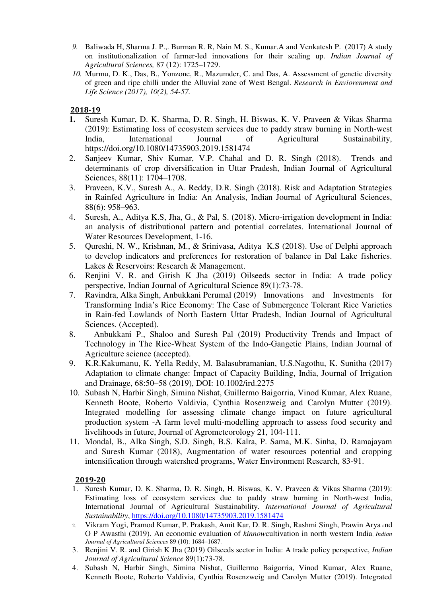- *9.* Baliwada H, Sharma J. P.,. Burman R. R, Nain M. S., Kumar.A and Venkatesh P. (2017) A study on institutionalization of farmer-led innovations for their scaling up. *Indian Journal of Agricultural Sciences,* 87 (12): 1725–1729.
- *10.* Murmu, D. K., Das, B., Yonzone, R., Mazumder, C. and Das, A. Assessment of genetic diversity of green and ripe chilli under the Alluvial zone of West Bengal. *Research in Enviorenment and Life Science (2017), 10(2), 54-57.*

# **2018-19**

- **1.** Suresh Kumar, D. K. Sharma, D. R. Singh, H. Biswas, K. V. Praveen & Vikas Sharma (2019): Estimating loss of ecosystem services due to paddy straw burning in North-west India, International Journal of Agricultural Sustainability, https://doi.org/10.1080/14735903.2019.1581474
- 2. Sanjeev Kumar, Shiv Kumar, V.P. Chahal and D. R. Singh (2018). Trends and determinants of crop diversification in Uttar Pradesh, Indian Journal of Agricultural Sciences, 88(11): 1704–1708.
- 3. Praveen, K.V., Suresh A., A. Reddy, D.R. Singh (2018). Risk and Adaptation Strategies in Rainfed Agriculture in India: An Analysis, Indian Journal of Agricultural Sciences, 88(6): 958–963.
- 4. Suresh, A., Aditya K.S, Jha, G., & Pal, S. (2018). Micro-irrigation development in India: an analysis of distributional pattern and potential correlates. International Journal of Water Resources Development, 1-16.
- 5. Qureshi, N. W., Krishnan, M., & Srinivasa, Aditya K.S (2018). Use of Delphi approach to develop indicators and preferences for restoration of balance in Dal Lake fisheries. Lakes & Reservoirs: Research & Management.
- 6. Renjini V. R. and Girish K Jha (2019) Oilseeds sector in India: A trade policy perspective, Indian Journal of Agricultural Science 89(1):73-78.
- 7. Ravindra, Alka Singh, Anbukkani Perumal (2019) Innovations and Investments for Transforming India's Rice Economy: The Case of Submergence Tolerant Rice Varieties in Rain-fed Lowlands of North Eastern Uttar Pradesh, Indian Journal of Agricultural Sciences. (Accepted).
- 8. Anbukkani P., Shaloo and Suresh Pal (2019) Productivity Trends and Impact of Technology in The Rice-Wheat System of the Indo-Gangetic Plains, Indian Journal of Agriculture science (accepted).
- 9. K.R.Kakumanu, K. Yella Reddy, M. Balasubramanian, U.S.Nagothu, K. Sunitha (2017) Adaptation to climate change: Impact of Capacity Building, India, Journal of Irrigation and Drainage, 68:50–58 (2019), DOI: 10.1002/ird.2275
- 10. Subash N, Harbir Singh, Simina Nishat, Guillermo Baigorria, Vinod Kumar, Alex Ruane, Kenneth Boote, Roberto Valdivia, Cynthia Rosenzweig and Carolyn Mutter (2019). Integrated modelling for assessing climate change impact on future agricultural production system -A farm level multi-modelling approach to assess food security and livelihoods in future, Journal of Agrometeorology 21, 104-111.
- 11. Mondal, B., Alka Singh, S.D. Singh, B.S. Kalra, P. Sama, M.K. Sinha, D. Ramajayam and Suresh Kumar (2018), Augmentation of water resources potential and cropping intensification through watershed programs, Water Environment Research, 83-91.

## **2019-20**

- 1. Suresh Kumar, D. K. Sharma, D. R. Singh, H. Biswas, K. V. Praveen & Vikas Sharma (2019): Estimating loss of ecosystem services due to paddy straw burning in North-west India, International Journal of Agricultural Sustainability. *International Journal of Agricultural Sustainability*,<https://doi.org/10.1080/14735903.2019.1581474>
- 2. Vikram Yogi, Pramod Kumar, P. Prakash, Amit Kar, D. R. Singh, Rashmi Singh, Prawin Arya and O P Awasthi (2019). An economic evaluation of *kinnow*cultivation in north western India, *Indian Journal of Agricultural Sciences* 89 (10): 1684–1687.
- 3. Renjini V. R. and Girish K Jha (2019) Oilseeds sector in India: A trade policy perspective, *Indian Journal of Agricultural Science* 89(1):73-78.
- 4. Subash N, Harbir Singh, Simina Nishat, Guillermo Baigorria, Vinod Kumar, Alex Ruane, Kenneth Boote, Roberto Valdivia, Cynthia Rosenzweig and Carolyn Mutter (2019). Integrated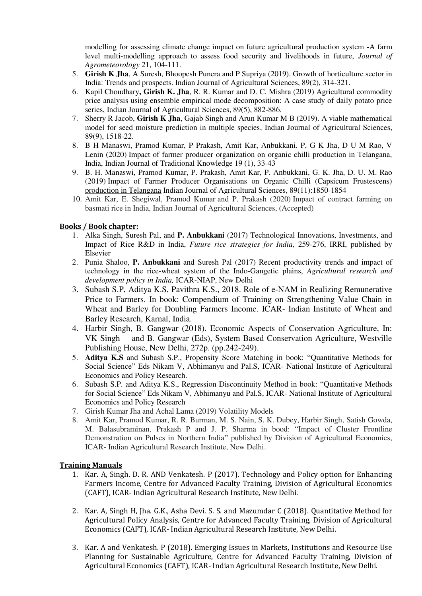modelling for assessing climate change impact on future agricultural production system -A farm level multi-modelling approach to assess food security and livelihoods in future, *Journal of Agrometeorology* 21, 104-111.

- 5. **Girish K Jha**, A Suresh, Bhoopesh Punera and P Supriya (2019). Growth of horticulture sector in India: Trends and prospects. Indian Journal of Agricultural Sciences, 89(2), 314-321.
- 6. Kapil Choudhary**, Girish K. Jha**, R. R. Kumar and D. C. Mishra (2019) Agricultural commodity price analysis using ensemble empirical mode decomposition: A case study of daily potato price series, Indian Journal of Agricultural Sciences, 89(5), 882-886.
- 7. Sherry R Jacob, **Girish K Jha**, Gajab Singh and Arun Kumar M B (2019). A viable mathematical model for seed moisture prediction in multiple species, Indian Journal of Agricultural Sciences, 89(9), 1518-22.
- 8. B H Manaswi, Pramod Kumar, P Prakash, Amit Kar, Anbukkani. P, G K Jha, D U M Rao, V Lenin (2020) Impact of farmer producer organization on organic chilli production in Telangana, India, Indian Journal of Traditional Knowledge 19 (1), 33-43
- 9. B. H. Manaswi, Pramod Kumar, P. Prakash, Amit Kar, P. Anbukkani, G. K. Jha, D. U. M. Rao (2019) [Impact of Farmer Producer Organisations on Organic Chilli \(Capsicum Frustescens\)](http://scholar.google.com/scholar?cluster=207628234161827034&hl=en&oi=scholarr)  [production in Telangana](http://scholar.google.com/scholar?cluster=207628234161827034&hl=en&oi=scholarr) Indian Journal of Agricultural Sciences, 89(11):1850-1854
- 10. Amit Kar, E. Shegiwal, Pramod Kumar and P. Prakash (2020) Impact of contract farming on basmati rice in India, Indian Journal of Agricultural Sciences, (Accepted)

### **Books / Book chapter:**

- 1. Alka Singh, Suresh Pal, and **P. Anbukkani** (2017) Technological Innovations, Investments, and Impact of Rice R&D in India, *Future rice strategies for India*, 259-276, IRRI, published by Elsevier
- 2. Punia Shaloo, **P. Anbukkani** and Suresh Pal (2017) Recent productivity trends and impact of technology in the rice-wheat system of the Indo-Gangetic plains, *Agricultural research and development policy in India,* ICAR-NIAP, New Delhi
- 3. Subash S.P, Aditya K.S, Pavithra K.S., 2018. Role of e-NAM in Realizing Remunerative Price to Farmers. In book: Compendium of Training on Strengthening Value Chain in Wheat and Barley for Doubling Farmers Income. ICAR- Indian Institute of Wheat and Barley Research, Karnal, India.
- 4. Harbir Singh, B. Gangwar (2018). Economic Aspects of Conservation Agriculture, In: VK Singh and B. Gangwar (Eds), System Based Conservation Agriculture, Westville Publishing House, New Delhi, 272p. (pp.242-249).
- 5. **Aditya K.S** and Subash S.P., Propensity Score Matching in book: "Quantitative Methods for Social Science" Eds Nikam V, Abhimanyu and Pal.S, ICAR- National Institute of Agricultural Economics and Policy Research.
- 6. Subash S.P. and Aditya K.S., Regression Discontinuity Method in book: "Quantitative Methods for Social Science" Eds Nikam V, Abhimanyu and Pal.S, ICAR- National Institute of Agricultural Economics and Policy Research
- 7. Girish Kumar Jha and Achal Lama (2019) Volatility Models
- 8. Amit Kar, Pramod Kumar, R. R. Burman, M. S. Nain, S. K. Dubey, Harbir Singh, Satish Gowda, M. Balasubraminan, Prakash P and J. P. Sharma in bood: "Impact of Cluster Frontline Demonstration on Pulses in Northern India" published by Division of Agricultural Economics, ICAR- Indian Agricultural Research Institute, New Delhi.

#### **Training Manuals**

- 1. Kar. A, Singh. D. R. AND Venkatesh. P (2017). Technology and Policy option for Enhancing Farmers Income, Centre for Advanced Faculty Training, Division of Agricultural Economics (CAFT), ICAR- Indian Agricultural Research Institute, New Delhi.
- 2. Kar. A, Singh H, Jha. G.K., Asha Devi. S. S. and Mazumdar C (2018). Quantitative Method for Agricultural Policy Analysis, Centre for Advanced Faculty Training, Division of Agricultural Economics (CAFT), ICAR- Indian Agricultural Research Institute, New Delhi.
- 3. Kar. A and Venkatesh. P (2018). Emerging Issues in Markets, Institutions and Resource Use Planning for Sustainable Agriculture, Centre for Advanced Faculty Training, Division of Agricultural Economics (CAFT), ICAR- Indian Agricultural Research Institute, New Delhi.